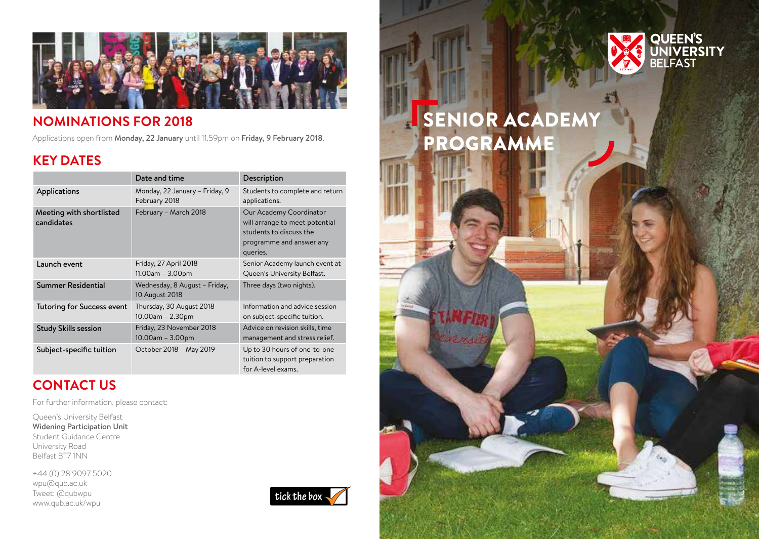

### **NOMINATIONS FOR 2018**

Applications open from Monday, 22 January until 11.59pm on Friday, 9 February 2018.

### **KEY DATES**

|                                        | Date and time                                      | Description                                                                                                                  |
|----------------------------------------|----------------------------------------------------|------------------------------------------------------------------------------------------------------------------------------|
| Applications                           | Monday, 22 January - Friday, 9<br>February 2018    | Students to complete and return<br>applications.                                                                             |
| Meeting with shortlisted<br>candidates | February - March 2018                              | Our Academy Coordinator<br>will arrange to meet potential<br>students to discuss the<br>programme and answer any<br>queries. |
| Launch event                           | Friday, 27 April 2018<br>$11.00$ am - $3.00$ pm    | Senior Academy launch event at<br>Queen's University Belfast.                                                                |
| <b>Summer Residential</b>              | Wednesday, 8 August - Friday,<br>10 August 2018    | Three days (two nights).                                                                                                     |
| <b>Tutoring for Success event</b>      | Thursday, 30 August 2018<br>$10.00$ am – 2.30pm    | Information and advice session<br>on subject-specific tuition.                                                               |
| <b>Study Skills session</b>            | Friday, 23 November 2018<br>$10.00$ am – $3.00$ pm | Advice on revision skills, time<br>management and stress relief.                                                             |
| Subject-specific tuition               | October 2018 - May 2019                            | Up to 30 hours of one-to-one<br>tuition to support preparation<br>for A-level exams.                                         |

## **CONTACT US**

For further information, please contact:

Queen's University Belfast Widening Participation Unit Student Guidance Centre University Road Belfast BT7 1NN

+44 (0) 28 9097 5020 wpu@qub.ac.uk Tweet: @qubwpu www.qub.ac.uk/wpu





# SENIOR ACADEMY PROGRAMME